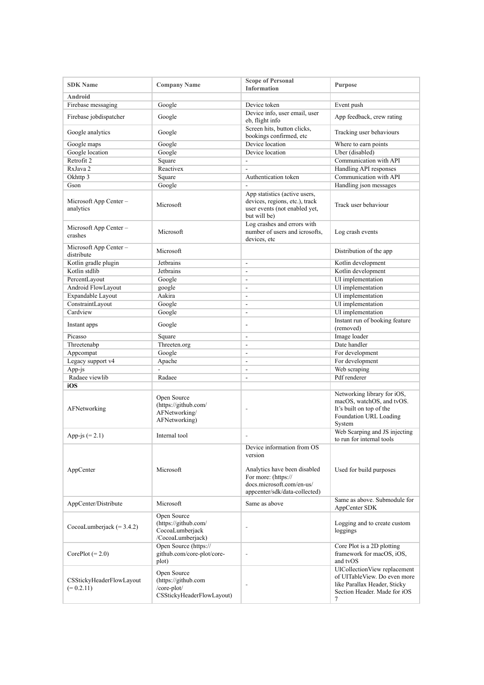| <b>SDK</b> Name                          | <b>Company Name</b>                                                            | <b>Scope of Personal</b><br><b>Information</b>                                                                                                             | Purpose                                                                                                                                  |
|------------------------------------------|--------------------------------------------------------------------------------|------------------------------------------------------------------------------------------------------------------------------------------------------------|------------------------------------------------------------------------------------------------------------------------------------------|
| Android                                  |                                                                                |                                                                                                                                                            |                                                                                                                                          |
| Firebase messaging                       | Google                                                                         | Device token                                                                                                                                               | Event push                                                                                                                               |
| Firebase jobdispatcher                   | Google                                                                         | Device info, user email, user<br>eb, flight info                                                                                                           | App feedback, crew rating                                                                                                                |
| Google analytics                         | Google                                                                         | Screen hits, button clicks,<br>bookings confirmed, etc                                                                                                     | Tracking user behaviours                                                                                                                 |
| Google maps                              | Google                                                                         | Device location                                                                                                                                            | Where to earn points                                                                                                                     |
| Google location                          | Google                                                                         | Device location                                                                                                                                            | Uber (disabled)                                                                                                                          |
| Retrofit 2                               | Square                                                                         | $\overline{\phantom{a}}$                                                                                                                                   | Communication with API                                                                                                                   |
| RxJava 2                                 | Reactivex                                                                      | $\blacksquare$                                                                                                                                             | Handling API responses                                                                                                                   |
| Okhttp 3                                 | Square                                                                         | Authentication token                                                                                                                                       | Communication with API                                                                                                                   |
| Gson                                     | Google                                                                         |                                                                                                                                                            | Handling json messages                                                                                                                   |
| Microsoft App Center-<br>analytics       | Microsoft                                                                      | App statistics (active users,<br>devices, regions, etc.), track<br>user events (not enabled yet,<br>but will be)                                           | Track user behaviour                                                                                                                     |
| Microsoft App Center -<br>crashes        | Microsoft                                                                      | Log crashes and errors with<br>number of users and icrosofts.<br>devices, etc                                                                              | Log crash events                                                                                                                         |
| Microsoft App Center -<br>distribute     | Microsoft                                                                      |                                                                                                                                                            | Distribution of the app                                                                                                                  |
| Kotlin gradle plugin                     | Jetbrains                                                                      | $\blacksquare$                                                                                                                                             | Kotlin development                                                                                                                       |
| Kotlin stdlib                            | Jetbrains                                                                      | $\overline{\phantom{a}}$                                                                                                                                   | Kotlin development                                                                                                                       |
| PercentLayout                            | Google                                                                         | $\overline{\phantom{a}}$                                                                                                                                   | UI implementation                                                                                                                        |
| Android FlowLayout                       | google                                                                         | $\blacksquare$                                                                                                                                             | UI implementation                                                                                                                        |
| Expandable Layout                        | Aakira                                                                         | $\overline{\phantom{a}}$                                                                                                                                   | UI implementation                                                                                                                        |
| ConstraintLayout                         | Google                                                                         | $\overline{a}$                                                                                                                                             | UI implementation                                                                                                                        |
| Cardview                                 | Google                                                                         | $\overline{\phantom{a}}$                                                                                                                                   | UI implementation                                                                                                                        |
| Instant apps                             | Google                                                                         | $\overline{\phantom{a}}$                                                                                                                                   | Instant run of booking feature<br>(removed)                                                                                              |
| Picasso                                  | Square                                                                         | $\sim$                                                                                                                                                     | Image loader                                                                                                                             |
| Threetenabp                              | Threeten.org                                                                   | $\overline{\phantom{a}}$                                                                                                                                   | Date handler                                                                                                                             |
| Appcompat                                | Google                                                                         | $\overline{a}$                                                                                                                                             | For development                                                                                                                          |
| Legacy support v4                        | Apache                                                                         | $\overline{\phantom{a}}$                                                                                                                                   | For development                                                                                                                          |
| App-js                                   | $\overline{a}$                                                                 | $\overline{\phantom{a}}$                                                                                                                                   | Web scraping                                                                                                                             |
| Radaee viewlib                           | Radaee                                                                         | $\overline{\phantom{a}}$                                                                                                                                   | Pdf renderer                                                                                                                             |
| iOS                                      |                                                                                |                                                                                                                                                            |                                                                                                                                          |
| AFNetworking                             | Open Source<br>(https://github.com/<br>AFNetworking/<br>AFNetworking)          | L,                                                                                                                                                         | Networking library for iOS,<br>macOS, watchOS, and tvOS.<br>It's built on top of the<br>Foundation URL Loading<br>System                 |
| App-js $(= 2.1)$                         | Internal tool                                                                  |                                                                                                                                                            | Web Scarping and JS injecting<br>to run for internal tools                                                                               |
| AppCenter                                | Microsoft                                                                      | Device information from OS<br>version<br>Analytics have been disabled<br>For more: (https://<br>docs.microsoft.com/en-us/<br>appcenter/sdk/data-collected) | Used for build purposes                                                                                                                  |
| AppCenter/Distribute                     | Microsoft                                                                      | Same as above                                                                                                                                              | Same as above. Submodule for<br>AppCenter SDK                                                                                            |
| $CocoaLumberiack (= 3.4.2)$              | Open Source<br>(https://github.com/<br>CocoaLumberjack<br>/CocoaLumberjack)    | $\overline{a}$                                                                                                                                             | Logging and to create custom<br>loggings                                                                                                 |
| CorePlot $(=2.0)$                        | Open Source (https://<br>github.com/core-plot/core-<br>plot)                   | $\overline{\phantom{a}}$                                                                                                                                   | Core Plot is a 2D plotting<br>framework for macOS, iOS,<br>and tvOS                                                                      |
| CSStickyHeaderFlowLayout<br>$(= 0.2.11)$ | Open Source<br>(https://github.com<br>/core-plot/<br>CSStickyHeaderFlowLayout) | $\centering \label{eq:reduced}$                                                                                                                            | <b>UICollectionView replacement</b><br>of UITableView. Do even more<br>like Parallax Header, Sticky<br>Section Header. Made for iOS<br>7 |